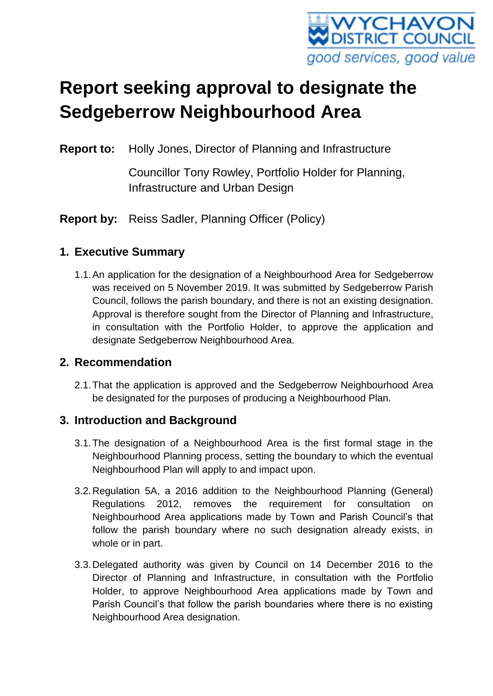

# **Report seeking approval to designate the Sedgeberrow Neighbourhood Area**

**Report to:** Holly Jones, Director of Planning and Infrastructure

Councillor Tony Rowley, Portfolio Holder for Planning, Infrastructure and Urban Design

**Report by:** Reiss Sadler, Planning Officer (Policy)

# **1. Executive Summary**

1.1.An application for the designation of a Neighbourhood Area for Sedgeberrow was received on 5 November 2019. It was submitted by Sedgeberrow Parish Council, follows the parish boundary, and there is not an existing designation. Approval is therefore sought from the Director of Planning and Infrastructure, in consultation with the Portfolio Holder, to approve the application and designate Sedgeberrow Neighbourhood Area.

## **2. Recommendation**

2.1.That the application is approved and the Sedgeberrow Neighbourhood Area be designated for the purposes of producing a Neighbourhood Plan.

# **3. Introduction and Background**

- 3.1.The designation of a Neighbourhood Area is the first formal stage in the Neighbourhood Planning process, setting the boundary to which the eventual Neighbourhood Plan will apply to and impact upon.
- 3.2.Regulation 5A, a 2016 addition to the Neighbourhood Planning (General) Regulations 2012, removes the requirement for consultation on Neighbourhood Area applications made by Town and Parish Council's that follow the parish boundary where no such designation already exists, in whole or in part.
- 3.3.Delegated authority was given by Council on 14 December 2016 to the Director of Planning and Infrastructure, in consultation with the Portfolio Holder, to approve Neighbourhood Area applications made by Town and Parish Council's that follow the parish boundaries where there is no existing Neighbourhood Area designation.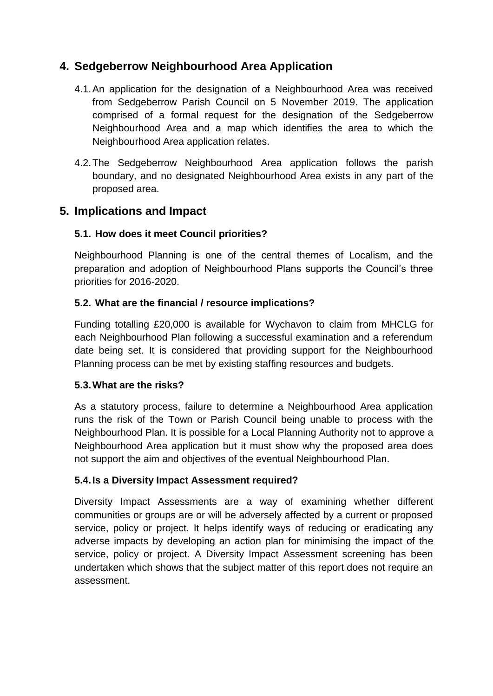# **4. Sedgeberrow Neighbourhood Area Application**

- 4.1.An application for the designation of a Neighbourhood Area was received from Sedgeberrow Parish Council on 5 November 2019. The application comprised of a formal request for the designation of the Sedgeberrow Neighbourhood Area and a map which identifies the area to which the Neighbourhood Area application relates.
- 4.2.The Sedgeberrow Neighbourhood Area application follows the parish boundary, and no designated Neighbourhood Area exists in any part of the proposed area.

## **5. Implications and Impact**

#### **5.1. How does it meet Council priorities?**

Neighbourhood Planning is one of the central themes of Localism, and the preparation and adoption of Neighbourhood Plans supports the Council's three priorities for 2016-2020.

#### **5.2. What are the financial / resource implications?**

Funding totalling £20,000 is available for Wychavon to claim from MHCLG for each Neighbourhood Plan following a successful examination and a referendum date being set. It is considered that providing support for the Neighbourhood Planning process can be met by existing staffing resources and budgets.

#### **5.3.What are the risks?**

As a statutory process, failure to determine a Neighbourhood Area application runs the risk of the Town or Parish Council being unable to process with the Neighbourhood Plan. It is possible for a Local Planning Authority not to approve a Neighbourhood Area application but it must show why the proposed area does not support the aim and objectives of the eventual Neighbourhood Plan.

#### **5.4.Is a Diversity Impact Assessment required?**

Diversity Impact Assessments are a way of examining whether different communities or groups are or will be adversely affected by a current or proposed service, policy or project. It helps identify ways of reducing or eradicating any adverse impacts by developing an action plan for minimising the impact of the service, policy or project. A Diversity Impact Assessment screening has been undertaken which shows that the subject matter of this report does not require an assessment.